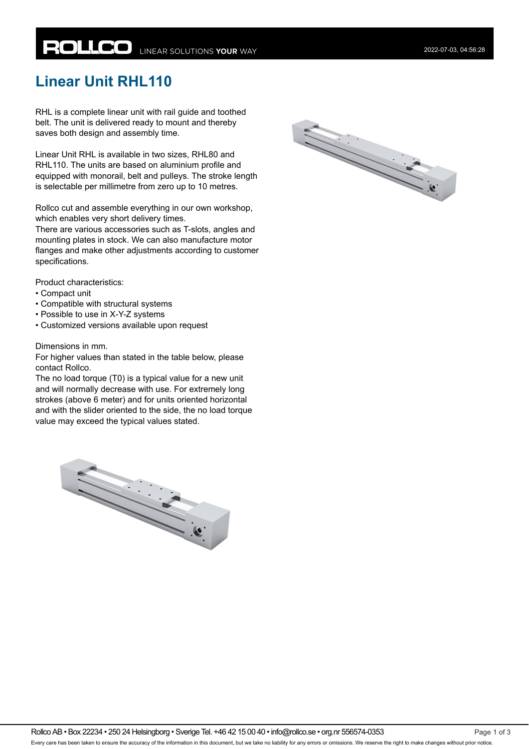# **ROLLCO** LINEAR SOLUTIONS YOUR WAY

## **Linear Unit RHL110**

RHL is a complete linear unit with rail guide and toothed belt. The unit is delivered ready to mount and thereby saves both design and assembly time.

Linear Unit RHL is available in two sizes, RHL80 and RHL110. The units are based on aluminium profile and equipped with monorail, belt and pulleys. The stroke length is selectable per millimetre from zero up to 10 metres.

Rollco cut and assemble everything in our own workshop, which enables very short delivery times.

There are various accessories such as T-slots, angles and mounting plates in stock. We can also manufacture motor flanges and make other adjustments according to customer specifications.

Product characteristics:

- Compact unit
- Compatible with structural systems
- Possible to use in X-Y-Z systems
- Customized versions available upon request

#### Dimensions in mm.

For higher values than stated in the table below, please contact Rollco.

The no load torque (T0) is a typical value for a new unit and will normally decrease with use. For extremely long strokes (above 6 meter) and for units oriented horizontal and with the slider oriented to the side, the no load torque value may exceed the typical values stated.



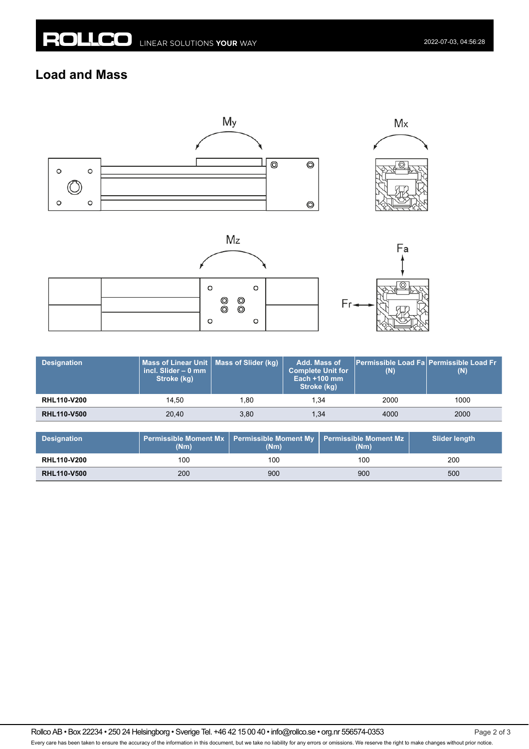### **Load and Mass**



|  | O |                                                             | O |  |
|--|---|-------------------------------------------------------------|---|--|
|  |   | $\begin{matrix} \circ & \circ \ \circ & \circ \end{matrix}$ |   |  |
|  | C |                                                             | o |  |



| <b>Designation</b> | Mass of Linear Unit   Mass of Slider (kg)<br>incl. Slider $-0$ mm<br>Stroke (kg) |      | Add. Mass of<br>Complete Unit for <b>\</b><br>Each $+100$ mm<br>Stroke (kg) | <b>Permissible Load Fal Permissible Load Fr</b><br>(N) | (N)  |
|--------------------|----------------------------------------------------------------------------------|------|-----------------------------------------------------------------------------|--------------------------------------------------------|------|
| <b>RHL110-V200</b> | 14.50                                                                            | 1.80 | 1.34                                                                        | 2000                                                   | 1000 |
| <b>RHL110-V500</b> | 20.40                                                                            | 3,80 | 1.34                                                                        | 4000                                                   | 2000 |

| <b>Designation</b> | (Nm | Permissible Moment Mx   Permissible Moment My   Permissible Moment Mz<br>(Nm) | (Nm) | Slider length |
|--------------------|-----|-------------------------------------------------------------------------------|------|---------------|
| <b>RHL110-V200</b> | 100 | 100                                                                           | 100  | 200           |
| <b>RHL110-V500</b> | 200 | 900                                                                           | 900  | 500           |

Rollco AB • Box 22234 • 250 24 Helsingborg • Sverige Tel. +46 42 15 00 40 • info@rollco.se • org.nr 556574-0353 Every care has been taken to ensure the accuracy of the information in this document, but we take no liability for any errors or omissions. We reserve the right to make changes without prior notice.